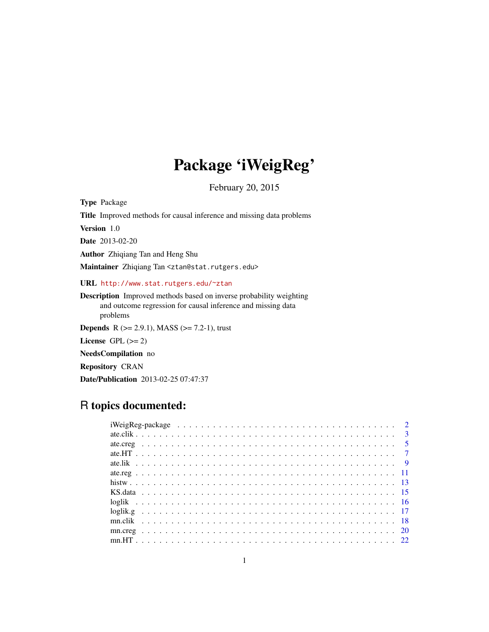# Package 'iWeigReg'

February 20, 2015

Type Package

Title Improved methods for causal inference and missing data problems

Version 1.0

Date 2013-02-20

Author Zhiqiang Tan and Heng Shu

Maintainer Zhiqiang Tan <ztan@stat.rutgers.edu>

URL <http://www.stat.rutgers.edu/~ztan>

Description Improved methods based on inverse probability weighting and outcome regression for causal inference and missing data problems

**Depends** R ( $>= 2.9.1$ ), MASS ( $>= 7.2-1$ ), trust

License GPL  $(>= 2)$ 

NeedsCompilation no

Repository CRAN

Date/Publication 2013-02-25 07:47:37

# R topics documented: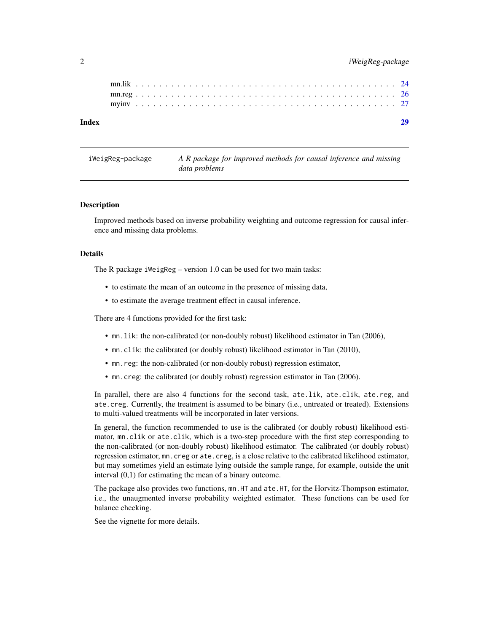# <span id="page-1-0"></span>2 iWeigReg-package

iWeigReg-package *A R package for improved methods for causal inference and missing data problems*

# Description

Improved methods based on inverse probability weighting and outcome regression for causal inference and missing data problems.

# Details

The R package iWeigReg – version 1.0 can be used for two main tasks:

- to estimate the mean of an outcome in the presence of missing data,
- to estimate the average treatment effect in causal inference.

There are 4 functions provided for the first task:

- mn.lik: the non-calibrated (or non-doubly robust) likelihood estimator in Tan (2006),
- mn.clik: the calibrated (or doubly robust) likelihood estimator in Tan (2010),
- mn.reg: the non-calibrated (or non-doubly robust) regression estimator,
- mn.creg: the calibrated (or doubly robust) regression estimator in Tan (2006).

In parallel, there are also 4 functions for the second task, ate.lik, ate.clik, ate.reg, and ate.creg. Currently, the treatment is assumed to be binary (i.e., untreated or treated). Extensions to multi-valued treatments will be incorporated in later versions.

In general, the function recommended to use is the calibrated (or doubly robust) likelihood estimator, mn.clik or ate.clik, which is a two-step procedure with the first step corresponding to the non-calibrated (or non-doubly robust) likelihood estimator. The calibrated (or doubly robust) regression estimator, mn.creg or ate.creg, is a close relative to the calibrated likelihood estimator, but may sometimes yield an estimate lying outside the sample range, for example, outside the unit interval (0,1) for estimating the mean of a binary outcome.

The package also provides two functions, mn.HT and ate.HT, for the Horvitz-Thompson estimator, i.e., the unaugmented inverse probability weighted estimator. These functions can be used for balance checking.

See the vignette for more details.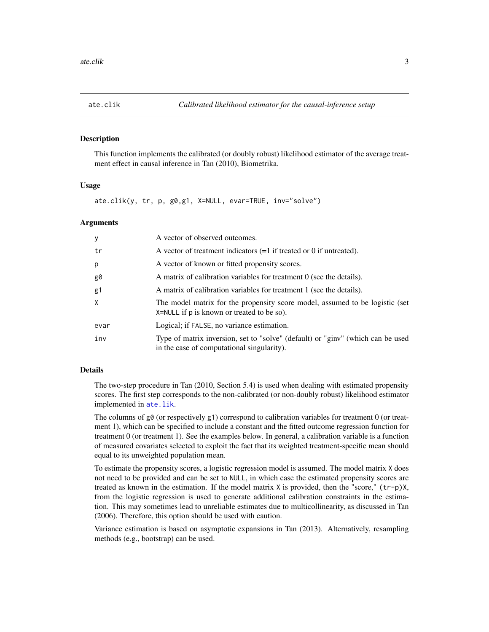#### <span id="page-2-0"></span>Description

This function implements the calibrated (or doubly robust) likelihood estimator of the average treatment effect in causal inference in Tan (2010), Biometrika.

# Usage

ate.clik(y, tr, p, g0,g1, X=NULL, evar=TRUE, inv="solve")

# Arguments

| A vector of observed outcomes.                                                                                                |
|-------------------------------------------------------------------------------------------------------------------------------|
| A vector of treatment indicators $(=1$ if treated or 0 if untreated).                                                         |
| A vector of known or fitted propensity scores.                                                                                |
| A matrix of calibration variables for treatment 0 (see the details).                                                          |
| A matrix of calibration variables for treatment 1 (see the details).                                                          |
| The model matrix for the propensity score model, assumed to be logistic (set<br>X=NULL if p is known or treated to be so).    |
| Logical; if FALSE, no variance estimation.                                                                                    |
| Type of matrix inversion, set to "solve" (default) or "ginv" (which can be used<br>in the case of computational singularity). |
|                                                                                                                               |

# Details

The two-step procedure in Tan (2010, Section 5.4) is used when dealing with estimated propensity scores. The first step corresponds to the non-calibrated (or non-doubly robust) likelihood estimator implemented in [ate.lik](#page-8-1).

The columns of  $g\theta$  (or respectively  $g1$ ) correspond to calibration variables for treatment  $\theta$  (or treatment 1), which can be specified to include a constant and the fitted outcome regression function for treatment 0 (or treatment 1). See the examples below. In general, a calibration variable is a function of measured covariates selected to exploit the fact that its weighted treatment-specific mean should equal to its unweighted population mean.

To estimate the propensity scores, a logistic regression model is assumed. The model matrix X does not need to be provided and can be set to NULL, in which case the estimated propensity scores are treated as known in the estimation. If the model matrix X is provided, then the "score," (tr-p)X, from the logistic regression is used to generate additional calibration constraints in the estimation. This may sometimes lead to unreliable estimates due to multicollinearity, as discussed in Tan (2006). Therefore, this option should be used with caution.

Variance estimation is based on asymptotic expansions in Tan (2013). Alternatively, resampling methods (e.g., bootstrap) can be used.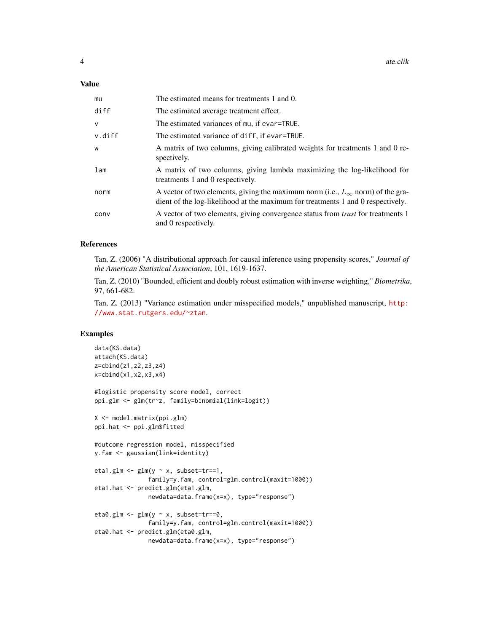# Value

| mu           | The estimated means for treatments 1 and 0.                                                                                                                                |
|--------------|----------------------------------------------------------------------------------------------------------------------------------------------------------------------------|
| diff         | The estimated average treatment effect.                                                                                                                                    |
| $\mathsf{V}$ | The estimated variances of mu, if evar=TRUE.                                                                                                                               |
| v.diff       | The estimated variance of diff, if evar=TRUE.                                                                                                                              |
| W            | A matrix of two columns, giving calibrated weights for treatments 1 and 0 re-<br>spectively.                                                                               |
| lam          | A matrix of two columns, giving lambda maximizing the log-likelihood for<br>treatments 1 and 0 respectively.                                                               |
| norm         | A vector of two elements, giving the maximum norm (i.e., $L_{\infty}$ norm) of the gra-<br>dient of the log-likelihood at the maximum for treatments 1 and 0 respectively. |
| conv         | A vector of two elements, giving convergence status from <i>trust</i> for treatments 1<br>and 0 respectively.                                                              |

# References

Tan, Z. (2006) "A distributional approach for causal inference using propensity scores," *Journal of the American Statistical Association*, 101, 1619-1637.

Tan, Z. (2010) "Bounded, efficient and doubly robust estimation with inverse weighting," *Biometrika*, 97, 661-682.

Tan, Z. (2013) "Variance estimation under misspecified models," unpublished manuscript, [http:](http://www.stat.rutgers.edu/~ztan) [//www.stat.rutgers.edu/~ztan](http://www.stat.rutgers.edu/~ztan).

```
data(KS.data)
attach(KS.data)
z=cbind(z1,z2,z3,z4)
x=cbind(x1,x2,x3,x4)
#logistic propensity score model, correct
ppi.glm <- glm(tr~z, family=binomial(link=logit))
X <- model.matrix(ppi.glm)
ppi.hat <- ppi.glm$fitted
#outcome regression model, misspecified
y.fam <- gaussian(link=identity)
eta1.glm <- glm(y \sim x, subset=tr==1,
               family=y.fam, control=glm.control(maxit=1000))
eta1.hat <- predict.glm(eta1.glm,
               newdata=data.frame(x=x), type="response")
eta0.glm \leq glm(y \sim x, subset=tr==0,
               family=y.fam, control=glm.control(maxit=1000))
eta0.hat <- predict.glm(eta0.glm,
               newdata=data.frame(x=x), type="response")
```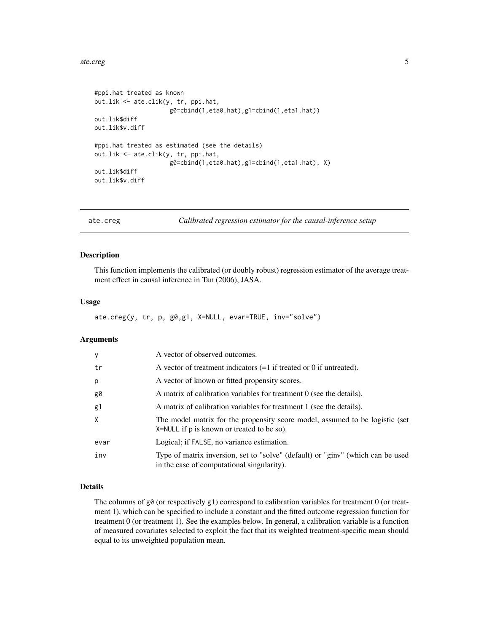## <span id="page-4-0"></span>ate.creg 5

```
#ppi.hat treated as known
out.lik <- ate.clik(y, tr, ppi.hat,
                     g0=cbind(1,eta0.hat),g1=cbind(1,eta1.hat))
out.lik$diff
out.lik$v.diff
#ppi.hat treated as estimated (see the details)
out.lik <- ate.clik(y, tr, ppi.hat,
                     g0=cbind(1,eta0.hat),g1=cbind(1,eta1.hat), X)
out.lik$diff
out.lik$v.diff
```
<span id="page-4-1"></span>

ate.creg *Calibrated regression estimator for the causal-inference setup*

# Description

This function implements the calibrated (or doubly robust) regression estimator of the average treatment effect in causal inference in Tan (2006), JASA.

# Usage

```
ate.creg(y, tr, p, g0,g1, X=NULL, evar=TRUE, inv="solve")
```
# Arguments

| У              | A vector of observed outcomes.                                                                                                 |
|----------------|--------------------------------------------------------------------------------------------------------------------------------|
| tr             | A vector of treatment indicators $(=1$ if treated or 0 if untreated).                                                          |
| p              | A vector of known or fitted propensity scores.                                                                                 |
| g0             | A matrix of calibration variables for treatment $0$ (see the details).                                                         |
| g <sub>1</sub> | A matrix of calibration variables for treatment 1 (see the details).                                                           |
| X              | The model matrix for the propensity score model, assumed to be logistic (set<br>$X = NULL$ if p is known or treated to be so). |
| evar           | Logical; if FALSE, no variance estimation.                                                                                     |
| inv            | Type of matrix inversion, set to "solve" (default) or "ginv" (which can be used<br>in the case of computational singularity).  |

# Details

The columns of  $g\theta$  (or respectively  $g1$ ) correspond to calibration variables for treatment 0 (or treatment 1), which can be specified to include a constant and the fitted outcome regression function for treatment 0 (or treatment 1). See the examples below. In general, a calibration variable is a function of measured covariates selected to exploit the fact that its weighted treatment-specific mean should equal to its unweighted population mean.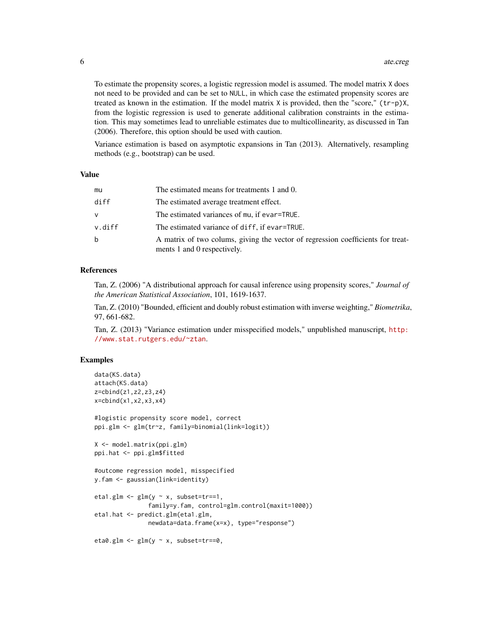To estimate the propensity scores, a logistic regression model is assumed. The model matrix X does not need to be provided and can be set to NULL, in which case the estimated propensity scores are treated as known in the estimation. If the model matrix X is provided, then the "score," (tr-p)X, from the logistic regression is used to generate additional calibration constraints in the estimation. This may sometimes lead to unreliable estimates due to multicollinearity, as discussed in Tan (2006). Therefore, this option should be used with caution.

Variance estimation is based on asymptotic expansions in Tan (2013). Alternatively, resampling methods (e.g., bootstrap) can be used.

## Value

| mu     | The estimated means for treatments 1 and 0.                                                                    |
|--------|----------------------------------------------------------------------------------------------------------------|
| diff   | The estimated average treatment effect.                                                                        |
| v      | The estimated variances of mu, if evar=TRUE.                                                                   |
| v.diff | The estimated variance of diff, if evar=TRUE.                                                                  |
| b      | A matrix of two colums, giving the vector of regression coefficients for treat-<br>ments 1 and 0 respectively. |

# References

Tan, Z. (2006) "A distributional approach for causal inference using propensity scores," *Journal of the American Statistical Association*, 101, 1619-1637.

Tan, Z. (2010) "Bounded, efficient and doubly robust estimation with inverse weighting," *Biometrika*, 97, 661-682.

Tan, Z. (2013) "Variance estimation under misspecified models," unpublished manuscript, [http:](http://www.stat.rutgers.edu/~ztan) [//www.stat.rutgers.edu/~ztan](http://www.stat.rutgers.edu/~ztan).

```
data(KS.data)
attach(KS.data)
z=cbind(z1,z2,z3,z4)
x=cbind(x1,x2,x3,x4)
#logistic propensity score model, correct
ppi.glm <- glm(tr~z, family=binomial(link=logit))
X <- model.matrix(ppi.glm)
ppi.hat <- ppi.glm$fitted
#outcome regression model, misspecified
y.fam <- gaussian(link=identity)
eta1.glm <- glm(y \sim x, subset=tr==1,
               family=y.fam, control=glm.control(maxit=1000))
eta1.hat <- predict.glm(eta1.glm,
               newdata=data.frame(x=x), type="response")
eta0.glm <- glm(y \sim x, subset=tr==0,
```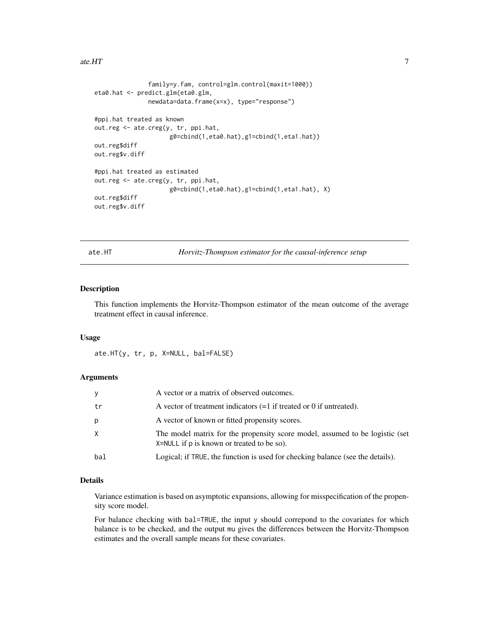<span id="page-6-0"></span>ate.HT  $\qquad \qquad$  7

```
family=y.fam, control=glm.control(maxit=1000))
eta0.hat <- predict.glm(eta0.glm,
               newdata=data.frame(x=x), type="response")
#ppi.hat treated as known
out.reg <- ate.creg(y, tr, ppi.hat,
                     g0=cbind(1,eta0.hat),g1=cbind(1,eta1.hat))
out.reg$diff
out.reg$v.diff
#ppi.hat treated as estimated
out.reg <- ate.creg(y, tr, ppi.hat,
                     g0=cbind(1,eta0.hat),g1=cbind(1,eta1.hat), X)
out.reg$diff
out.reg$v.diff
```
ate.HT *Horvitz-Thompson estimator for the causal-inference setup*

# Description

This function implements the Horvitz-Thompson estimator of the mean outcome of the average treatment effect in causal inference.

# Usage

ate.HT(y, tr, p, X=NULL, bal=FALSE)

# Arguments

| V   | A vector or a matrix of observed outcomes.                                                                                     |
|-----|--------------------------------------------------------------------------------------------------------------------------------|
| tr  | A vector of treatment indicators $(=1$ if treated or 0 if untreated).                                                          |
| р   | A vector of known or fitted propensity scores.                                                                                 |
| X   | The model matrix for the propensity score model, assumed to be logistic (set<br>$X = NULL$ if p is known or treated to be so). |
| bal | Logical; if TRUE, the function is used for checking balance (see the details).                                                 |

# Details

Variance estimation is based on asymptotic expansions, allowing for misspecification of the propensity score model.

For balance checking with bal=TRUE, the input y should correpond to the covariates for which balance is to be checked, and the output mu gives the differences between the Horvitz-Thompson estimates and the overall sample means for these covariates.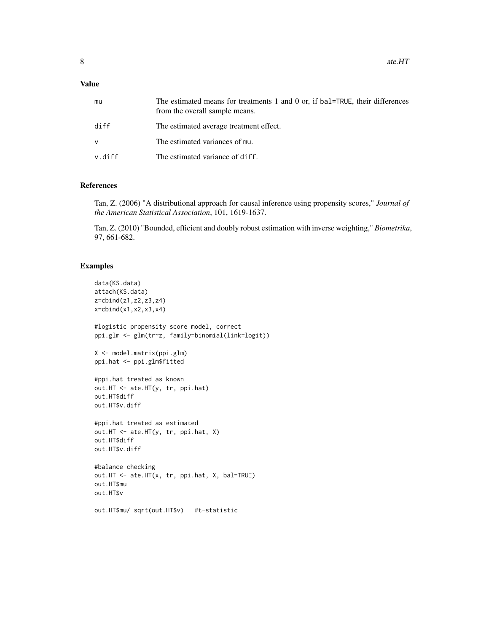# Value

| mu     | The estimated means for treatments 1 and 0 or, if bal=TRUE, their differences<br>from the overall sample means. |
|--------|-----------------------------------------------------------------------------------------------------------------|
| diff   | The estimated average treatment effect.                                                                         |
| ν      | The estimated variances of mu.                                                                                  |
| v.diff | The estimated variance of diff.                                                                                 |

# References

Tan, Z. (2006) "A distributional approach for causal inference using propensity scores," *Journal of the American Statistical Association*, 101, 1619-1637.

Tan, Z. (2010) "Bounded, efficient and doubly robust estimation with inverse weighting," *Biometrika*, 97, 661-682.

```
data(KS.data)
attach(KS.data)
z=cbind(z1,z2,z3,z4)
x=cbind(x1,x2,x3,x4)
#logistic propensity score model, correct
ppi.glm <- glm(tr~z, family=binomial(link=logit))
X <- model.matrix(ppi.glm)
ppi.hat <- ppi.glm$fitted
#ppi.hat treated as known
out.HT <- ate.HT(y, tr, ppi.hat)
out.HT$diff
out.HT$v.diff
#ppi.hat treated as estimated
out.HT <- ate.HT(y, tr, ppi.hat, X)
out.HT$diff
out.HT$v.diff
#balance checking
out.HT <- ate.HT(x, tr, ppi.hat, X, bal=TRUE)
out.HT$mu
out.HT$v
out.HT$mu/ sqrt(out.HT$v) #t-statistic
```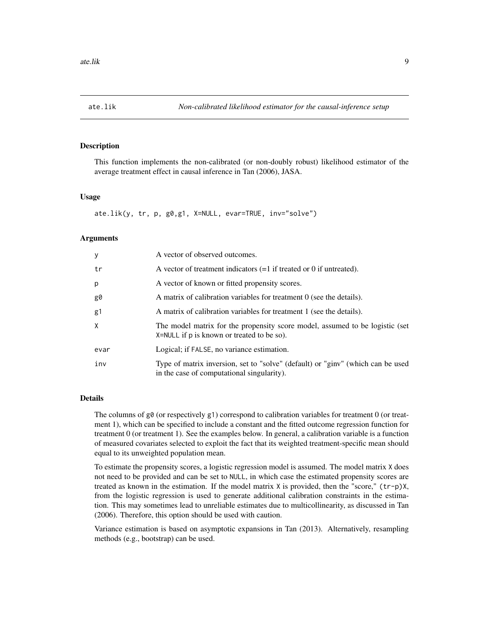<span id="page-8-1"></span><span id="page-8-0"></span>

# Description

This function implements the non-calibrated (or non-doubly robust) likelihood estimator of the average treatment effect in causal inference in Tan (2006), JASA.

# Usage

ate.lik(y, tr, p, g0,g1, X=NULL, evar=TRUE, inv="solve")

# Arguments

| У    | A vector of observed outcomes.                                                                                                |
|------|-------------------------------------------------------------------------------------------------------------------------------|
| tr   | A vector of treatment indicators $(=1$ if treated or 0 if untreated).                                                         |
| p    | A vector of known or fitted propensity scores.                                                                                |
| g0   | A matrix of calibration variables for treatment 0 (see the details).                                                          |
| g1   | A matrix of calibration variables for treatment 1 (see the details).                                                          |
| X    | The model matrix for the propensity score model, assumed to be logistic (set<br>X=NULL if p is known or treated to be so).    |
| evar | Logical; if FALSE, no variance estimation.                                                                                    |
| inv  | Type of matrix inversion, set to "solve" (default) or "ginv" (which can be used<br>in the case of computational singularity). |

# Details

The columns of  $g\theta$  (or respectively g1) correspond to calibration variables for treatment 0 (or treatment 1), which can be specified to include a constant and the fitted outcome regression function for treatment 0 (or treatment 1). See the examples below. In general, a calibration variable is a function of measured covariates selected to exploit the fact that its weighted treatment-specific mean should equal to its unweighted population mean.

To estimate the propensity scores, a logistic regression model is assumed. The model matrix X does not need to be provided and can be set to NULL, in which case the estimated propensity scores are treated as known in the estimation. If the model matrix X is provided, then the "score," (tr-p)X, from the logistic regression is used to generate additional calibration constraints in the estimation. This may sometimes lead to unreliable estimates due to multicollinearity, as discussed in Tan (2006). Therefore, this option should be used with caution.

Variance estimation is based on asymptotic expansions in Tan (2013). Alternatively, resampling methods (e.g., bootstrap) can be used.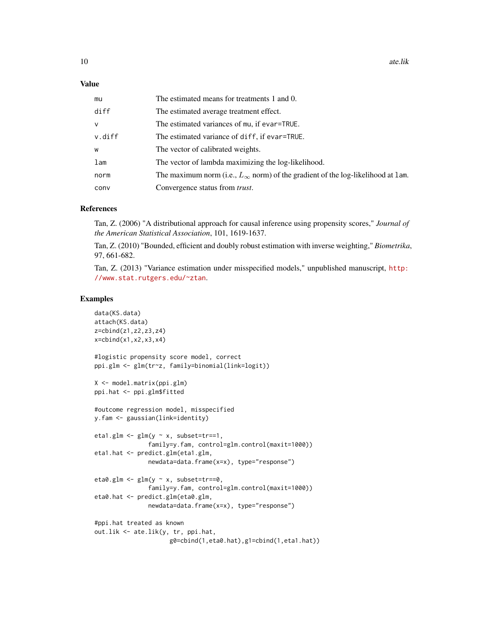## Value

| mu           | The estimated means for treatments 1 and 0.                                               |
|--------------|-------------------------------------------------------------------------------------------|
| diff         | The estimated average treatment effect.                                                   |
| $\mathsf{V}$ | The estimated variances of mu, if evar=TRUE.                                              |
| v.diff       | The estimated variance of diff, if evar=TRUE.                                             |
| W            | The vector of calibrated weights.                                                         |
| lam          | The vector of lambda maximizing the log-likelihood.                                       |
| norm         | The maximum norm (i.e., $L_{\infty}$ norm) of the gradient of the log-likelihood at 1 am. |
| conv         | Convergence status from <i>trust</i> .                                                    |

#### References

Tan, Z. (2006) "A distributional approach for causal inference using propensity scores," *Journal of the American Statistical Association*, 101, 1619-1637.

Tan, Z. (2010) "Bounded, efficient and doubly robust estimation with inverse weighting," *Biometrika*, 97, 661-682.

Tan, Z. (2013) "Variance estimation under misspecified models," unpublished manuscript, [http:](http://www.stat.rutgers.edu/~ztan) [//www.stat.rutgers.edu/~ztan](http://www.stat.rutgers.edu/~ztan).

```
data(KS.data)
attach(KS.data)
z=cbind(z1,z2,z3,z4)
x=cbind(x1,x2,x3,x4)
#logistic propensity score model, correct
ppi.glm <- glm(tr~z, family=binomial(link=logit))
X <- model.matrix(ppi.glm)
ppi.hat <- ppi.glm$fitted
#outcome regression model, misspecified
y.fam <- gaussian(link=identity)
eta1.glm \leftarrow glm(y \sim x, subset=tr==1,
               family=y.fam, control=glm.control(maxit=1000))
eta1.hat <- predict.glm(eta1.glm,
               newdata=data.frame(x=x), type="response")
eta0.glm \leftarrow glm(y \sim x, subset=tr==0,family=y.fam, control=glm.control(maxit=1000))
eta0.hat <- predict.glm(eta0.glm,
               newdata=data.frame(x=x), type="response")
#ppi.hat treated as known
out.lik <- ate.lik(y, tr, ppi.hat,
                     g0=cbind(1,eta0.hat),g1=cbind(1,eta1.hat))
```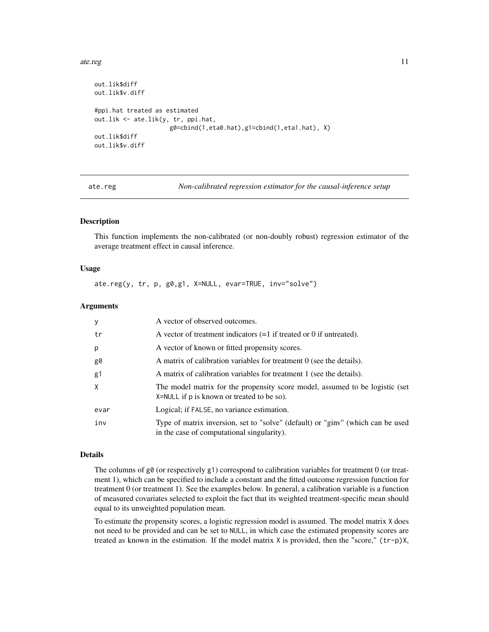## <span id="page-10-0"></span>ate.reg and the state of the state of the state of the state of the state of the state of the state of the state of the state of the state of the state of the state of the state of the state of the state of the state of th

```
out.lik$diff
out.lik$v.diff
#ppi.hat treated as estimated
out.lik <- ate.lik(y, tr, ppi.hat,
                     g0=cbind(1,eta0.hat),g1=cbind(1,eta1.hat), X)
out.lik$diff
out.lik$v.diff
```
ate.reg *Non-calibrated regression estimator for the causal-inference setup*

# Description

This function implements the non-calibrated (or non-doubly robust) regression estimator of the average treatment effect in causal inference.

# Usage

ate.reg(y, tr, p, g0,g1, X=NULL, evar=TRUE, inv="solve")

# Arguments

| <sub>y</sub> | A vector of observed outcomes.                                                                                                |
|--------------|-------------------------------------------------------------------------------------------------------------------------------|
| tr           | A vector of treatment indicators $(=1$ if treated or 0 if untreated).                                                         |
| p            | A vector of known or fitted propensity scores.                                                                                |
| g0           | A matrix of calibration variables for treatment $0$ (see the details).                                                        |
| g1           | A matrix of calibration variables for treatment 1 (see the details).                                                          |
| $\mathsf{X}$ | The model matrix for the propensity score model, assumed to be logistic (set<br>X=NULL if p is known or treated to be so).    |
| evar         | Logical; if FALSE, no variance estimation.                                                                                    |
| inv          | Type of matrix inversion, set to "solve" (default) or "ginv" (which can be used<br>in the case of computational singularity). |

#### Details

The columns of g0 (or respectively g1) correspond to calibration variables for treatment 0 (or treatment 1), which can be specified to include a constant and the fitted outcome regression function for treatment 0 (or treatment 1). See the examples below. In general, a calibration variable is a function of measured covariates selected to exploit the fact that its weighted treatment-specific mean should equal to its unweighted population mean.

To estimate the propensity scores, a logistic regression model is assumed. The model matrix X does not need to be provided and can be set to NULL, in which case the estimated propensity scores are treated as known in the estimation. If the model matrix  $X$  is provided, then the "score,"  $(tr-p)X$ ,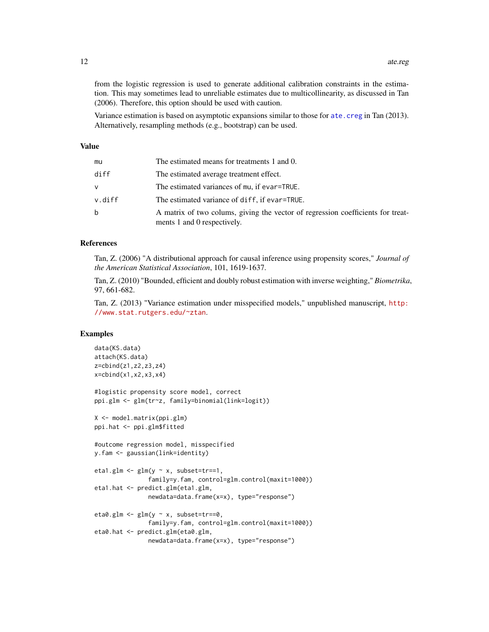<span id="page-11-0"></span>from the logistic regression is used to generate additional calibration constraints in the estimation. This may sometimes lead to unreliable estimates due to multicollinearity, as discussed in Tan (2006). Therefore, this option should be used with caution.

Variance estimation is based on asymptotic expansions similar to those for [ate.creg](#page-4-1) in Tan (2013). Alternatively, resampling methods (e.g., bootstrap) can be used.

#### Value

| mu     | The estimated means for treatments 1 and 0.                                                                    |
|--------|----------------------------------------------------------------------------------------------------------------|
| diff   | The estimated average treatment effect.                                                                        |
| v      | The estimated variances of mu, if evar=TRUE.                                                                   |
| v.diff | The estimated variance of diff, if evar=TRUE.                                                                  |
| b      | A matrix of two colums, giving the vector of regression coefficients for treat-<br>ments 1 and 0 respectively. |

# References

Tan, Z. (2006) "A distributional approach for causal inference using propensity scores," *Journal of the American Statistical Association*, 101, 1619-1637.

Tan, Z. (2010) "Bounded, efficient and doubly robust estimation with inverse weighting," *Biometrika*, 97, 661-682.

Tan, Z. (2013) "Variance estimation under misspecified models," unpublished manuscript, [http:](http://www.stat.rutgers.edu/~ztan) [//www.stat.rutgers.edu/~ztan](http://www.stat.rutgers.edu/~ztan).

```
data(KS.data)
attach(KS.data)
z=cbind(z1,z2,z3,z4)
x=cbind(x1,x2,x3,x4)
#logistic propensity score model, correct
ppi.glm <- glm(tr~z, family=binomial(link=logit))
X <- model.matrix(ppi.glm)
ppi.hat <- ppi.glm$fitted
#outcome regression model, misspecified
y.fam <- gaussian(link=identity)
eta1.glm <- glm(y \sim x, subset=tr==1,
               family=y.fam, control=glm.control(maxit=1000))
eta1.hat <- predict.glm(eta1.glm,
               newdata=data.frame(x=x), type="response")
eta0.glm \leq glm(y \sim x, subset=tr==0,
               family=y.fam, control=glm.control(maxit=1000))
eta0.hat <- predict.glm(eta0.glm,
               newdata=data.frame(x=x), type="response")
```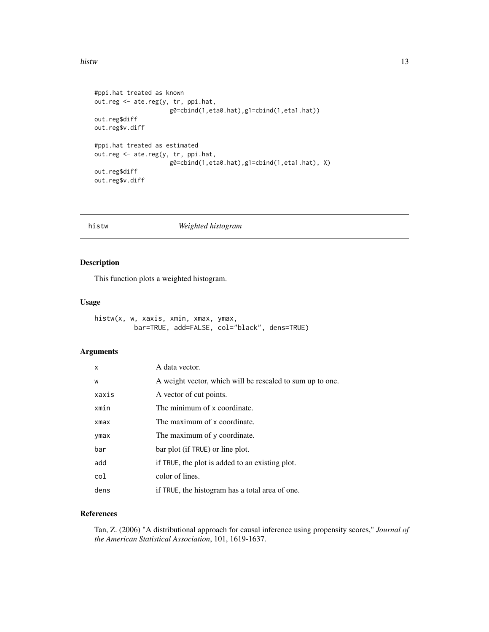## <span id="page-12-0"></span>histw<sup>13</sup>

```
#ppi.hat treated as known
out.reg <- ate.reg(y, tr, ppi.hat,
                     g0=cbind(1,eta0.hat),g1=cbind(1,eta1.hat))
out.reg$diff
out.reg$v.diff
#ppi.hat treated as estimated
out.reg <- ate.reg(y, tr, ppi.hat,
                     g0=cbind(1,eta0.hat),g1=cbind(1,eta1.hat), X)
out.reg$diff
out.reg$v.diff
```
histw *Weighted histogram*

# Description

This function plots a weighted histogram.

# Usage

histw(x, w, xaxis, xmin, xmax, ymax, bar=TRUE, add=FALSE, col="black", dens=TRUE)

# Arguments

| X          | A data vector.                                            |
|------------|-----------------------------------------------------------|
| W          | A weight vector, which will be rescaled to sum up to one. |
| xaxis      | A vector of cut points.                                   |
| xmin       | The minimum of x coordinate.                              |
| $x$ ma $x$ | The maximum of x coordinate.                              |
| ymax       | The maximum of y coordinate.                              |
| bar        | bar plot (if TRUE) or line plot.                          |
| add        | if TRUE, the plot is added to an existing plot.           |
| col        | color of lines.                                           |
| dens       | if TRUE, the histogram has a total area of one.           |

# References

Tan, Z. (2006) "A distributional approach for causal inference using propensity scores," *Journal of the American Statistical Association*, 101, 1619-1637.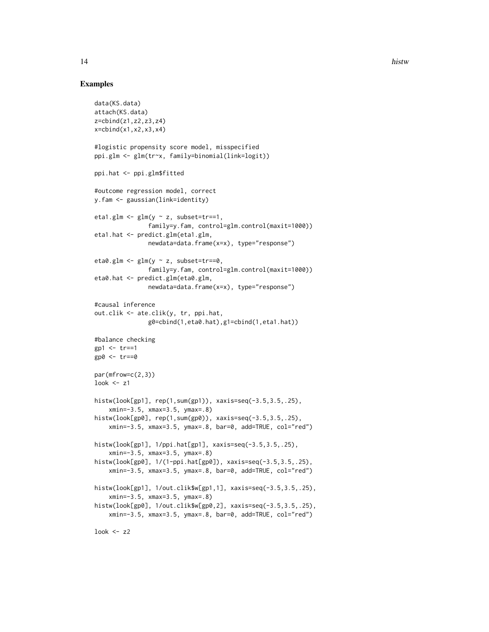# Examples

```
data(KS.data)
attach(KS.data)
z=cbind(z1,z2,z3,z4)
x = \text{cbind}(x1, x2, x3, x4)#logistic propensity score model, misspecified
ppi.glm <- glm(tr~x, family=binomial(link=logit))
ppi.hat <- ppi.glm$fitted
#outcome regression model, correct
y.fam <- gaussian(link=identity)
eta1.glm \leq glm(y \sim z, subset=tr==1,
               family=y.fam, control=glm.control(maxit=1000))
eta1.hat <- predict.glm(eta1.glm,
               newdata=data.frame(x=x), type="response")
eta0.glm <- glm(y \sim z, subset=tr==0,
               family=y.fam, control=glm.control(maxit=1000))
eta0.hat <- predict.glm(eta0.glm,
               newdata=data.frame(x=x), type="response")
#causal inference
out.clik <- ate.clik(y, tr, ppi.hat,
               g0=cbind(1,eta0.hat),g1=cbind(1,eta1.hat))
#balance checking
gp1 <- tr==1gp0 <- tr==0
par(mfrow=c(2,3))
look <- z1
histw(look[gp1], rep(1,sum(gp1)), xaxis=seq(-3.5,3.5,.25),
    xmin=-3.5, xmax=3.5, ymax=.8)
histw(look[gp0], rep(1,sum(gp0)), xaxis=seq(-3.5,3.5,.25),
    xmin=-3.5, xmax=3.5, ymax=.8, bar=0, add=TRUE, col="red")
histw(look[gp1], 1/ppi.hat[gp1], xaxis=seq(-3.5,3.5,.25),
    xmin=-3.5, xmax=3.5, ymax=.8)
histw(look[gp0], 1/(1-ppi.hat[gp0]), xaxis=seq(-3.5,3.5,.25),
    xmin=-3.5, xmax=3.5, ymax=.8, bar=0, add=TRUE, col="red")
histw(look[gp1], 1/out.clik$w[gp1,1], xaxis=seq(-3.5,3.5,.25),
    xmin=-3.5, xmax=3.5, ymax=.8)
histw(look[gp0], 1/out.clik$w[gp0,2], xaxis=seq(-3.5,3.5,.25),
    xmin=-3.5, xmax=3.5, ymax=.8, bar=0, add=TRUE, col="red")
```
look  $<-z2$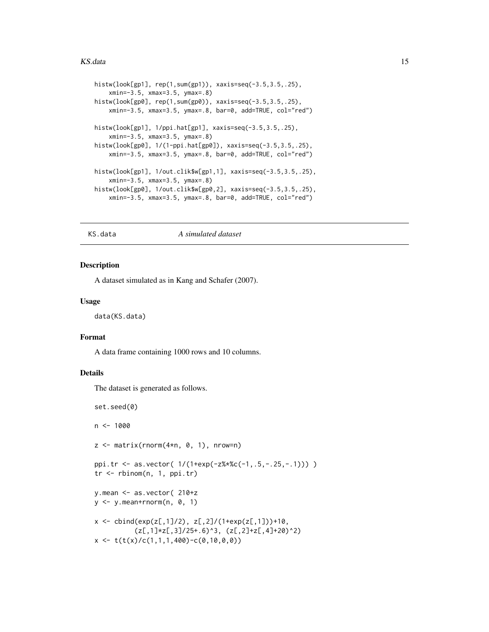## <span id="page-14-0"></span>KS.data 15

```
histw(look[gp1], rep(1,sum(gp1)), xaxis=seq(-3.5,3.5,.25),
    xmin=-3.5, xmax=3.5, ymax=.8)
histw(look[gp0], rep(1,sum(gp0)), xaxis=seq(-3.5,3.5,.25),
    xmin=-3.5, xmax=3.5, ymax=.8, bar=0, add=TRUE, col="red")
histw(look[gp1], 1/ppi.hat[gp1], xaxis=seq(-3.5,3.5,.25),
    xmin=-3.5, xmax=3.5, ymax=.8)
histw(look[gp0], 1/(1-ppi.hat[gp0]), xaxis=seq(-3.5,3.5,.25),
    xmin=-3.5, xmax=3.5, ymax=.8, bar=0, add=TRUE, col="red")
histw(look[gp1], 1/out.clik$w[gp1,1], xaxis=seq(-3.5,3.5,.25),
    xmin=-3.5, xmax=3.5, ymax=.8)
histw(look[gp0], 1/out.clik$w[gp0,2], xaxis=seq(-3.5,3.5,.25),
    xmin=-3.5, xmax=3.5, ymax=.8, bar=0, add=TRUE, col="red")
```
## KS.data *A simulated dataset*

# **Description**

A dataset simulated as in Kang and Schafer (2007).

# Usage

data(KS.data)

# Format

A data frame containing 1000 rows and 10 columns.

# Details

The dataset is generated as follows.

```
set.seed(0)
n < - 1000z \le matrix(rnorm(4*n, 0, 1), nrow=n)
ppi.tr <- as.vector( 1/(1+exp(-z%*%c(-1,.5,-.25,-.1))) )
tr <- rbinom(n, 1, ppi.tr)
y.mean <- as.vector( 210+z
y \le y.mean+rnorm(n, 0, 1)
x \le -\text{cbind}(\exp(z[, 1]/2), z[, 2]/(1+\exp(z[, 1]))+10,(z[, 1] * z[, 3]/25+.6<sup>^3</sup>, (z[, 2]+z[, 4]+20<sup>^2</sup>)
x \leftarrow t(t(x)/c(1,1,1,400)-c(0,10,0,0))
```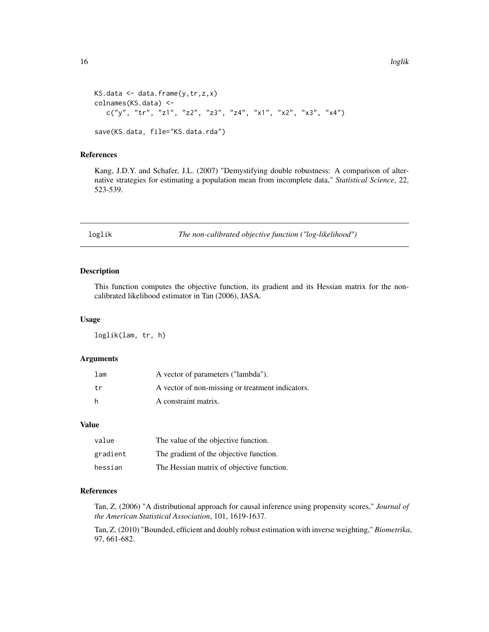```
KS.data \leq data.frame(y,tr,z,x)
colnames(KS.data) <-
   c("y", "tr", "z1", "z2", "z3", "z4", "x1", "x2", "x3", "x4")save(KS.data, file="KS.data.rda")
```
# References

Kang, J.D.Y. and Schafer, J.L. (2007) "Demystifying double robustness: A comparison of alternative strategies for estimating a population mean from incomplete data," *Statistical Science*, 22, 523-539.

loglik *The non-calibrated objective function ("log-likelihood")*

# Description

This function computes the objective function, its gradient and its Hessian matrix for the noncalibrated likelihood estimator in Tan (2006), JASA.

# Usage

loglik(lam, tr, h)

# Arguments

| lam | A vector of parameters ("lambda").               |
|-----|--------------------------------------------------|
| tr  | A vector of non-missing or treatment indicators. |
| h   | A constraint matrix.                             |

#### Value

| value    | The value of the objective function.      |
|----------|-------------------------------------------|
| gradient | The gradient of the objective function.   |
| hessian  | The Hessian matrix of objective function. |

# References

Tan, Z. (2006) "A distributional approach for causal inference using propensity scores," *Journal of the American Statistical Association*, 101, 1619-1637.

Tan, Z. (2010) "Bounded, efficient and doubly robust estimation with inverse weighting," *Biometrika*, 97, 661-682.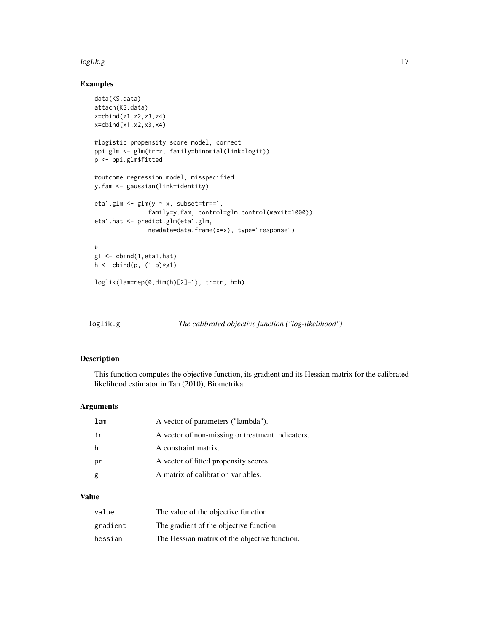# <span id="page-16-0"></span>loglik.g the contract of the contract of the contract of the contract of the contract of the contract of the contract of the contract of the contract of the contract of the contract of the contract of the contract of the c

# Examples

```
data(KS.data)
attach(KS.data)
z=cbind(z1,z2,z3,z4)
x=cbind(x1,x2,x3,x4)
#logistic propensity score model, correct
ppi.glm <- glm(tr~z, family=binomial(link=logit))
p <- ppi.glm$fitted
#outcome regression model, misspecified
y.fam <- gaussian(link=identity)
eta1.glm <- glm(y \sim x, subset=tr==1,
               family=y.fam, control=glm.control(maxit=1000))
eta1.hat <- predict.glm(eta1.glm,
               newdata=data.frame(x=x), type="response")
#
g1 <- cbind(1,eta1.hat)
h \leftarrow cbind(p, (1-p)*g1)
loglik(lam=rep(0,dim(h)[2]-1), tr=tr, h=h)
```

| loglik.g | The calibrated objective function ("log-likelihood") |
|----------|------------------------------------------------------|
|          |                                                      |

# Description

This function computes the objective function, its gradient and its Hessian matrix for the calibrated likelihood estimator in Tan (2010), Biometrika.

# Arguments

| lam | A vector of parameters ("lambda").               |
|-----|--------------------------------------------------|
| t r | A vector of non-missing or treatment indicators. |
| h   | A constraint matrix.                             |
| pr  | A vector of fitted propensity scores.            |
| g   | A matrix of calibration variables.               |

# Value

| value    | The value of the objective function.          |
|----------|-----------------------------------------------|
| gradient | The gradient of the objective function.       |
| hessian  | The Hessian matrix of the objective function. |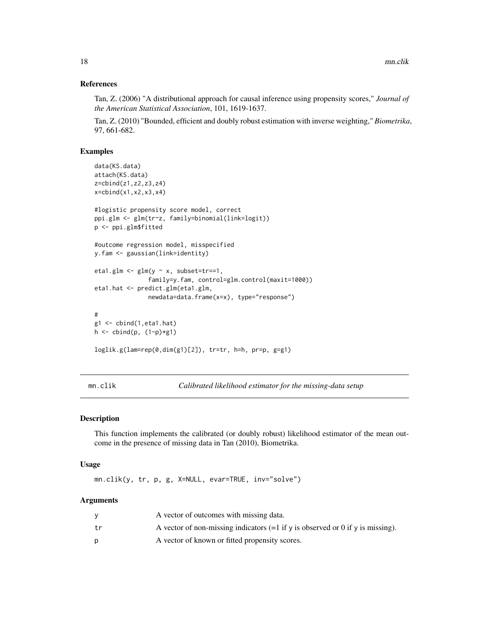# <span id="page-17-0"></span>References

Tan, Z. (2006) "A distributional approach for causal inference using propensity scores," *Journal of the American Statistical Association*, 101, 1619-1637.

Tan, Z. (2010) "Bounded, efficient and doubly robust estimation with inverse weighting," *Biometrika*, 97, 661-682.

# Examples

```
data(KS.data)
attach(KS.data)
z=cbind(z1,z2,z3,z4)
x=cbind(x1,x2,x3,x4)
#logistic propensity score model, correct
ppi.glm <- glm(tr~z, family=binomial(link=logit))
p <- ppi.glm$fitted
#outcome regression model, misspecified
y.fam <- gaussian(link=identity)
eta1.glm <- glm(y \sim x, subset=tr==1,
               family=y.fam, control=glm.control(maxit=1000))
eta1.hat <- predict.glm(eta1.glm,
               newdata=data.frame(x=x), type="response")
#
g1 <- cbind(1,eta1.hat)
h \le cbind(p, (1-p)*g1)
loglik.g(lam=rep(0,dim(g1)[2]), tr=tr, h=h, pr=p, g=g1)
```
mn.clik *Calibrated likelihood estimator for the missing-data setup*

#### Description

This function implements the calibrated (or doubly robust) likelihood estimator of the mean outcome in the presence of missing data in Tan (2010), Biometrika.

# Usage

mn.clik(y, tr, p, g, X=NULL, evar=TRUE, inv="solve")

# Arguments

|    | A vector of outcomes with missing data.                                          |
|----|----------------------------------------------------------------------------------|
| tr | A vector of non-missing indicators $(=1$ if y is observed or 0 if y is missing). |
|    | A vector of known or fitted propensity scores.                                   |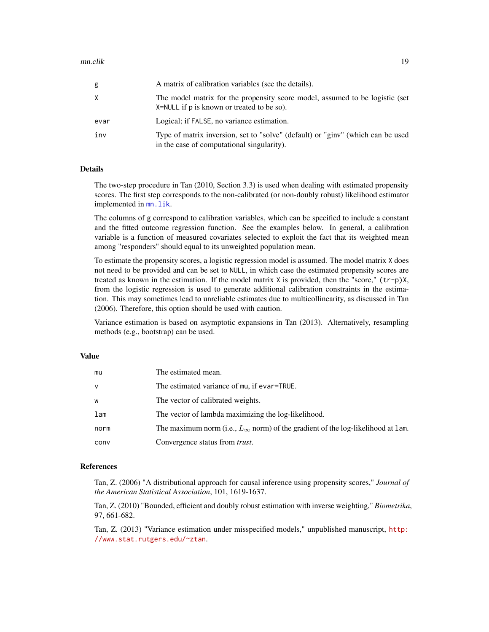<span id="page-18-0"></span>

| g    | A matrix of calibration variables (see the details).                                                                           |
|------|--------------------------------------------------------------------------------------------------------------------------------|
| X    | The model matrix for the propensity score model, assumed to be logistic (set<br>$X = NULL$ if p is known or treated to be so). |
| evar | Logical; if FALSE, no variance estimation.                                                                                     |
| inv  | Type of matrix inversion, set to "solve" (default) or "ginv" (which can be used<br>in the case of computational singularity).  |

# Details

The two-step procedure in Tan (2010, Section 3.3) is used when dealing with estimated propensity scores. The first step corresponds to the non-calibrated (or non-doubly robust) likelihood estimator implemented in  $mn$ . lik.

The columns of g correspond to calibration variables, which can be specified to include a constant and the fitted outcome regression function. See the examples below. In general, a calibration variable is a function of measured covariates selected to exploit the fact that its weighted mean among "responders" should equal to its unweighted population mean.

To estimate the propensity scores, a logistic regression model is assumed. The model matrix X does not need to be provided and can be set to NULL, in which case the estimated propensity scores are treated as known in the estimation. If the model matrix  $X$  is provided, then the "score," ( $\text{tr}-p$ )X, from the logistic regression is used to generate additional calibration constraints in the estimation. This may sometimes lead to unreliable estimates due to multicollinearity, as discussed in Tan (2006). Therefore, this option should be used with caution.

Variance estimation is based on asymptotic expansions in Tan (2013). Alternatively, resampling methods (e.g., bootstrap) can be used.

# Value

| mu   | The estimated mean.                                                                      |
|------|------------------------------------------------------------------------------------------|
| v    | The estimated variance of mu, if evar=TRUE.                                              |
| w    | The vector of calibrated weights.                                                        |
| lam  | The vector of lambda maximizing the log-likelihood.                                      |
| norm | The maximum norm (i.e., $L_{\infty}$ norm) of the gradient of the log-likelihood at 1am. |
| conv | Convergence status from <i>trust</i> .                                                   |

# References

Tan, Z. (2006) "A distributional approach for causal inference using propensity scores," *Journal of the American Statistical Association*, 101, 1619-1637.

Tan, Z. (2010) "Bounded, efficient and doubly robust estimation with inverse weighting," *Biometrika*, 97, 661-682.

Tan, Z. (2013) "Variance estimation under misspecified models," unpublished manuscript, [http:](http://www.stat.rutgers.edu/~ztan) [//www.stat.rutgers.edu/~ztan](http://www.stat.rutgers.edu/~ztan).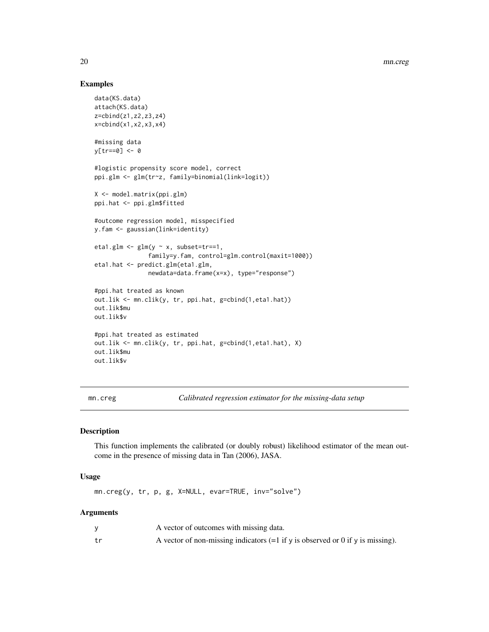# Examples

```
data(KS.data)
attach(KS.data)
z=cbind(z1,z2,z3,z4)
x=cbind(x1,x2,x3,x4)
#missing data
y[tr==0] <- 0
#logistic propensity score model, correct
ppi.glm <- glm(tr~z, family=binomial(link=logit))
X <- model.matrix(ppi.glm)
ppi.hat <- ppi.glm$fitted
#outcome regression model, misspecified
y.fam <- gaussian(link=identity)
eta1.glm \leq glm(y \sim x, subset=tr==1,
               family=y.fam, control=glm.control(maxit=1000))
eta1.hat <- predict.glm(eta1.glm,
               newdata=data.frame(x=x), type="response")
#ppi.hat treated as known
out.lik <- mn.clik(y, tr, ppi.hat, g=cbind(1,eta1.hat))
out.lik$mu
out.lik$v
#ppi.hat treated as estimated
out.lik <- mn.clik(y, tr, ppi.hat, g=cbind(1,eta1.hat), X)
out.lik$mu
out.lik$v
```
<span id="page-19-1"></span>mn.creg *Calibrated regression estimator for the missing-data setup*

# Description

This function implements the calibrated (or doubly robust) likelihood estimator of the mean outcome in the presence of missing data in Tan (2006), JASA.

# Usage

mn.creg(y, tr, p, g, X=NULL, evar=TRUE, inv="solve")

# Arguments

|    | A vector of outcomes with missing data.                                          |
|----|----------------------------------------------------------------------------------|
| tr | A vector of non-missing indicators $(=1$ if y is observed or 0 if y is missing). |

<span id="page-19-0"></span>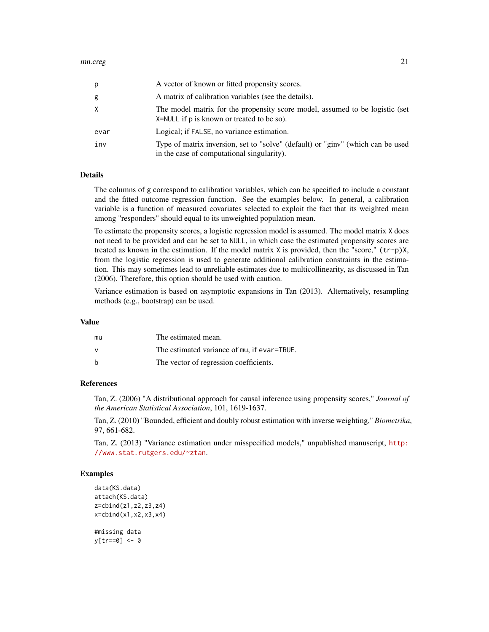| p    | A vector of known or fitted propensity scores.                                                                                |
|------|-------------------------------------------------------------------------------------------------------------------------------|
| g    | A matrix of calibration variables (see the details).                                                                          |
| X    | The model matrix for the propensity score model, assumed to be logistic (set<br>X=NULL if p is known or treated to be so).    |
| evar | Logical; if FALSE, no variance estimation.                                                                                    |
| inv  | Type of matrix inversion, set to "solve" (default) or "ginv" (which can be used<br>in the case of computational singularity). |

# Details

The columns of g correspond to calibration variables, which can be specified to include a constant and the fitted outcome regression function. See the examples below. In general, a calibration variable is a function of measured covariates selected to exploit the fact that its weighted mean among "responders" should equal to its unweighted population mean.

To estimate the propensity scores, a logistic regression model is assumed. The model matrix X does not need to be provided and can be set to NULL, in which case the estimated propensity scores are treated as known in the estimation. If the model matrix X is provided, then the "score," (tr-p)X, from the logistic regression is used to generate additional calibration constraints in the estimation. This may sometimes lead to unreliable estimates due to multicollinearity, as discussed in Tan (2006). Therefore, this option should be used with caution.

Variance estimation is based on asymptotic expansions in Tan (2013). Alternatively, resampling methods (e.g., bootstrap) can be used.

#### Value

| mu | The estimated mean.                         |
|----|---------------------------------------------|
| v  | The estimated variance of mu, if evar=TRUE. |
| b  | The vector of regression coefficients.      |

# References

Tan, Z. (2006) "A distributional approach for causal inference using propensity scores," *Journal of the American Statistical Association*, 101, 1619-1637.

Tan, Z. (2010) "Bounded, efficient and doubly robust estimation with inverse weighting," *Biometrika*, 97, 661-682.

Tan, Z. (2013) "Variance estimation under misspecified models," unpublished manuscript, [http:](http://www.stat.rutgers.edu/~ztan) [//www.stat.rutgers.edu/~ztan](http://www.stat.rutgers.edu/~ztan).

```
data(KS.data)
attach(KS.data)
z=cbind(z1,z2,z3,z4)
x=cbind(x1,x2,x3,x4)
#missing data
y[tr==0] <- 0
```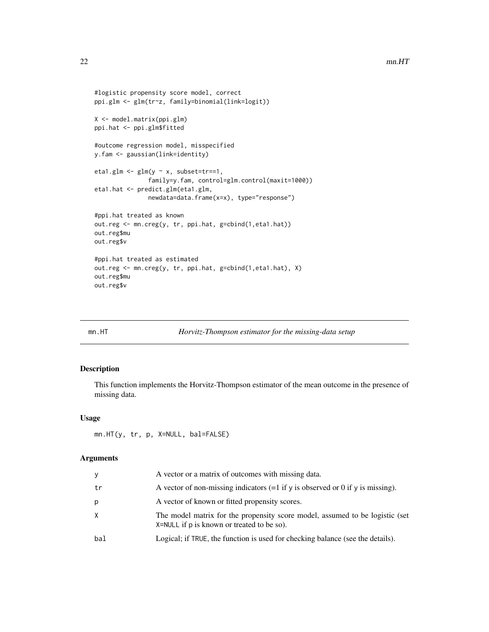```
#logistic propensity score model, correct
ppi.glm <- glm(tr~z, family=binomial(link=logit))
X <- model.matrix(ppi.glm)
ppi.hat <- ppi.glm$fitted
#outcome regression model, misspecified
y.fam <- gaussian(link=identity)
eta1.glm <- glm(y \sim x, subset=tr==1,
               family=y.fam, control=glm.control(maxit=1000))
eta1.hat <- predict.glm(eta1.glm,
               newdata=data.frame(x=x), type="response")
#ppi.hat treated as known
out.reg <- mn.creg(y, tr, ppi.hat, g=cbind(1,eta1.hat))
out.reg$mu
out.reg$v
#ppi.hat treated as estimated
out.reg <- mn.creg(y, tr, ppi.hat, g=cbind(1,eta1.hat), X)
out.reg$mu
out.reg$v
```
#### mn.HT *Horvitz-Thompson estimator for the missing-data setup*

# Description

This function implements the Horvitz-Thompson estimator of the mean outcome in the presence of missing data.

# Usage

mn.HT(y, tr, p, X=NULL, bal=FALSE)

#### Arguments

| y   | A vector or a matrix of outcomes with missing data.                                                                        |
|-----|----------------------------------------------------------------------------------------------------------------------------|
| tr  | A vector of non-missing indicators $(=1$ if y is observed or 0 if y is missing).                                           |
| р   | A vector of known or fitted propensity scores.                                                                             |
| X.  | The model matrix for the propensity score model, assumed to be logistic (set<br>X=NULL if p is known or treated to be so). |
| bal | Logical; if TRUE, the function is used for checking balance (see the details).                                             |
|     |                                                                                                                            |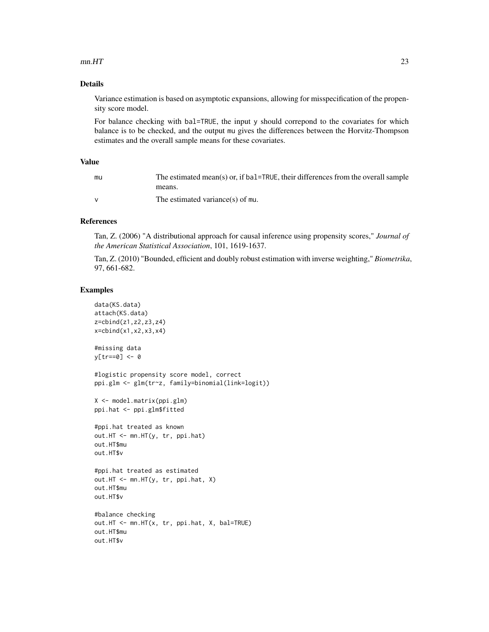# $mn.HT$  23

# Details

Variance estimation is based on asymptotic expansions, allowing for misspecification of the propensity score model.

For balance checking with bal=TRUE, the input y should correpond to the covariates for which balance is to be checked, and the output mu gives the differences between the Horvitz-Thompson estimates and the overall sample means for these covariates.

# Value

| mu | The estimated mean(s) or, if bal=TRUE, their differences from the overall sample |
|----|----------------------------------------------------------------------------------|
|    | means.                                                                           |
|    | The estimated variance(s) of mu.                                                 |

# References

Tan, Z. (2006) "A distributional approach for causal inference using propensity scores," *Journal of the American Statistical Association*, 101, 1619-1637.

Tan, Z. (2010) "Bounded, efficient and doubly robust estimation with inverse weighting," *Biometrika*, 97, 661-682.

```
data(KS.data)
attach(KS.data)
z=cbind(z1,z2,z3,z4)
x = \text{cbind}(x1, x2, x3, x4)#missing data
y[tr==0] <- 0
#logistic propensity score model, correct
ppi.glm <- glm(tr~z, family=binomial(link=logit))
X <- model.matrix(ppi.glm)
ppi.hat <- ppi.glm$fitted
#ppi.hat treated as known
out.HT <- mn.HT(y, tr, ppi.hat)
out.HT$mu
out.HT$v
#ppi.hat treated as estimated
out.HT <- mn.HT(y, tr, ppi.hat, X)
out.HT$mu
out.HT$v
#balance checking
out.HT <- mn.HT(x, tr, ppi.hat, X, bal=TRUE)
out.HT$mu
out.HT$v
```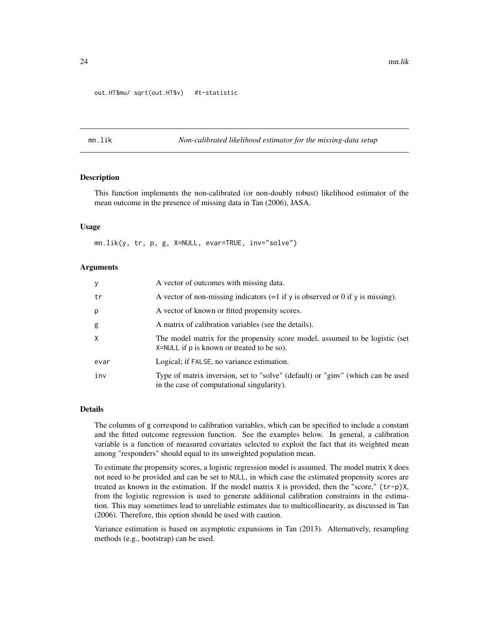# <span id="page-23-0"></span>out.HT\$mu/ sqrt(out.HT\$v) #t-statistic

<span id="page-23-1"></span>mn.lik *Non-calibrated likelihood estimator for the missing-data setup*

# Description

This function implements the non-calibrated (or non-doubly robust) likelihood estimator of the mean outcome in the presence of missing data in Tan (2006), JASA.

# Usage

mn.lik(y, tr, p, g, X=NULL, evar=TRUE, inv="solve")

# Arguments

| y        | A vector of outcomes with missing data.                                                                                       |
|----------|-------------------------------------------------------------------------------------------------------------------------------|
| tr       | A vector of non-missing indicators $(=1$ if y is observed or 0 if y is missing).                                              |
| p        | A vector of known or fitted propensity scores.                                                                                |
| g        | A matrix of calibration variables (see the details).                                                                          |
| $\times$ | The model matrix for the propensity score model, assumed to be logistic (set<br>X=NULL if p is known or treated to be so).    |
| evar     | Logical; if FALSE, no variance estimation.                                                                                    |
| inv      | Type of matrix inversion, set to "solve" (default) or "ginv" (which can be used<br>in the case of computational singularity). |

# Details

The columns of g correspond to calibration variables, which can be specified to include a constant and the fitted outcome regression function. See the examples below. In general, a calibration variable is a function of measured covariates selected to exploit the fact that its weighted mean among "responders" should equal to its unweighted population mean.

To estimate the propensity scores, a logistic regression model is assumed. The model matrix X does not need to be provided and can be set to NULL, in which case the estimated propensity scores are treated as known in the estimation. If the model matrix X is provided, then the "score," (tr-p)X, from the logistic regression is used to generate additional calibration constraints in the estimation. This may sometimes lead to unreliable estimates due to multicollinearity, as discussed in Tan (2006). Therefore, this option should be used with caution.

Variance estimation is based on asymptotic expansions in Tan (2013). Alternatively, resampling methods (e.g., bootstrap) can be used.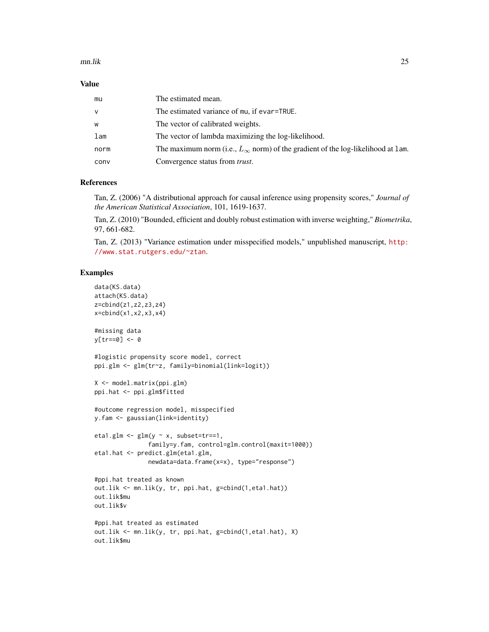## mn.lik 25

# Value

| mu   | The estimated mean.                                                                       |
|------|-------------------------------------------------------------------------------------------|
| v    | The estimated variance of mu, if evar=TRUE.                                               |
| W    | The vector of calibrated weights.                                                         |
| lam  | The vector of lambda maximizing the log-likelihood.                                       |
| norm | The maximum norm (i.e., $L_{\infty}$ norm) of the gradient of the log-likelihood at 1 am. |
| conv | Convergence status from <i>trust</i> .                                                    |

# References

Tan, Z. (2006) "A distributional approach for causal inference using propensity scores," *Journal of the American Statistical Association*, 101, 1619-1637.

Tan, Z. (2010) "Bounded, efficient and doubly robust estimation with inverse weighting," *Biometrika*, 97, 661-682.

Tan, Z. (2013) "Variance estimation under misspecified models," unpublished manuscript, [http:](http://www.stat.rutgers.edu/~ztan) [//www.stat.rutgers.edu/~ztan](http://www.stat.rutgers.edu/~ztan).

```
data(KS.data)
attach(KS.data)
z=cbind(z1,z2,z3,z4)
x=cbind(x1,x2,x3,x4)
#missing data
y[tr==0] <- 0
#logistic propensity score model, correct
ppi.glm <- glm(tr~z, family=binomial(link=logit))
X <- model.matrix(ppi.glm)
ppi.hat <- ppi.glm$fitted
#outcome regression model, misspecified
y.fam <- gaussian(link=identity)
eta1.glm \leftarrow glm(y \sim x, subset=tr==1,
               family=y.fam, control=glm.control(maxit=1000))
eta1.hat <- predict.glm(eta1.glm,
               newdata=data.frame(x=x), type="response")
#ppi.hat treated as known
out.lik <- mn.lik(y, tr, ppi.hat, g=cbind(1,eta1.hat))
out.lik$mu
out.lik$v
#ppi.hat treated as estimated
out.lik <- mn.lik(y, tr, ppi.hat, g=cbind(1,eta1.hat), X)
out.lik$mu
```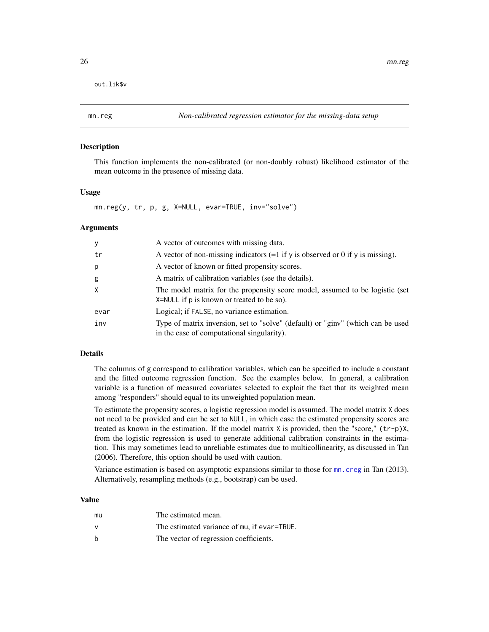<span id="page-25-0"></span>out.lik\$v

#### **Description**

This function implements the non-calibrated (or non-doubly robust) likelihood estimator of the mean outcome in the presence of missing data.

# Usage

mn.reg(y, tr, p, g, X=NULL, evar=TRUE, inv="solve")

# Arguments

| У    | A vector of outcomes with missing data.                                                                                       |
|------|-------------------------------------------------------------------------------------------------------------------------------|
| tr   | A vector of non-missing indicators $(=1$ if y is observed or 0 if y is missing).                                              |
| p    | A vector of known or fitted propensity scores.                                                                                |
| g    | A matrix of calibration variables (see the details).                                                                          |
| X    | The model matrix for the propensity score model, assumed to be logistic (set<br>X=NULL if p is known or treated to be so).    |
| evar | Logical; if FALSE, no variance estimation.                                                                                    |
| inv  | Type of matrix inversion, set to "solve" (default) or "ginv" (which can be used<br>in the case of computational singularity). |

# Details

The columns of g correspond to calibration variables, which can be specified to include a constant and the fitted outcome regression function. See the examples below. In general, a calibration variable is a function of measured covariates selected to exploit the fact that its weighted mean among "responders" should equal to its unweighted population mean.

To estimate the propensity scores, a logistic regression model is assumed. The model matrix X does not need to be provided and can be set to NULL, in which case the estimated propensity scores are treated as known in the estimation. If the model matrix X is provided, then the "score," (tr-p)X, from the logistic regression is used to generate additional calibration constraints in the estimation. This may sometimes lead to unreliable estimates due to multicollinearity, as discussed in Tan (2006). Therefore, this option should be used with caution.

Variance estimation is based on asymptotic expansions similar to those for [mn.creg](#page-19-1) in Tan (2013). Alternatively, resampling methods (e.g., bootstrap) can be used.

# Value

| mu           | The estimated mean.                         |
|--------------|---------------------------------------------|
| $\mathsf{v}$ | The estimated variance of mu, if evar=TRUE. |
| b            | The vector of regression coefficients.      |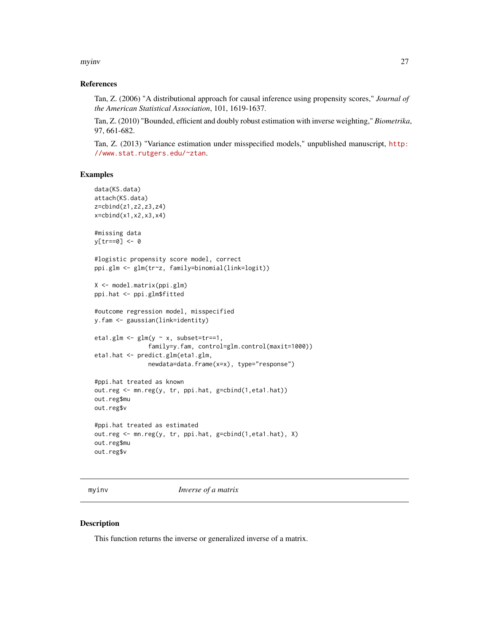<span id="page-26-0"></span>myinv 27

# References

Tan, Z. (2006) "A distributional approach for causal inference using propensity scores," *Journal of the American Statistical Association*, 101, 1619-1637.

Tan, Z. (2010) "Bounded, efficient and doubly robust estimation with inverse weighting," *Biometrika*, 97, 661-682.

Tan, Z. (2013) "Variance estimation under misspecified models," unpublished manuscript, [http:](http://www.stat.rutgers.edu/~ztan) [//www.stat.rutgers.edu/~ztan](http://www.stat.rutgers.edu/~ztan).

# Examples

```
data(KS.data)
attach(KS.data)
z=cbind(z1,z2,z3,z4)
x=cbind(x1,x2,x3,x4)
#missing data
y[tr==0] <- 0
#logistic propensity score model, correct
ppi.glm <- glm(tr~z, family=binomial(link=logit))
X <- model.matrix(ppi.glm)
ppi.hat <- ppi.glm$fitted
#outcome regression model, misspecified
y.fam <- gaussian(link=identity)
eta1.glm <- glm(y \sim x, subset=tr==1,
               family=y.fam, control=glm.control(maxit=1000))
eta1.hat <- predict.glm(eta1.glm,
               newdata=data.frame(x=x), type="response")
#ppi.hat treated as known
out.reg <- mn.reg(y, tr, ppi.hat, g=cbind(1,eta1.hat))
out.reg$mu
out.reg$v
#ppi.hat treated as estimated
out.reg <- mn.reg(y, tr, ppi.hat, g=cbind(1,eta1.hat), X)
out.reg$mu
out.reg$v
```
myinv *Inverse of a matrix*

#### Description

This function returns the inverse or generalized inverse of a matrix.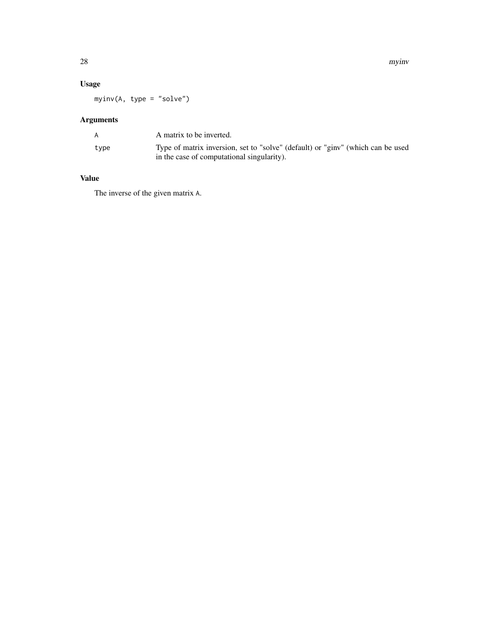28 myinv

# Usage

myinv(A, type = "solve")

# Arguments

|      | A matrix to be inverted.                                                                                                      |
|------|-------------------------------------------------------------------------------------------------------------------------------|
| type | Type of matrix inversion, set to "solve" (default) or "ginv" (which can be used<br>in the case of computational singularity). |

# Value

The inverse of the given matrix A.